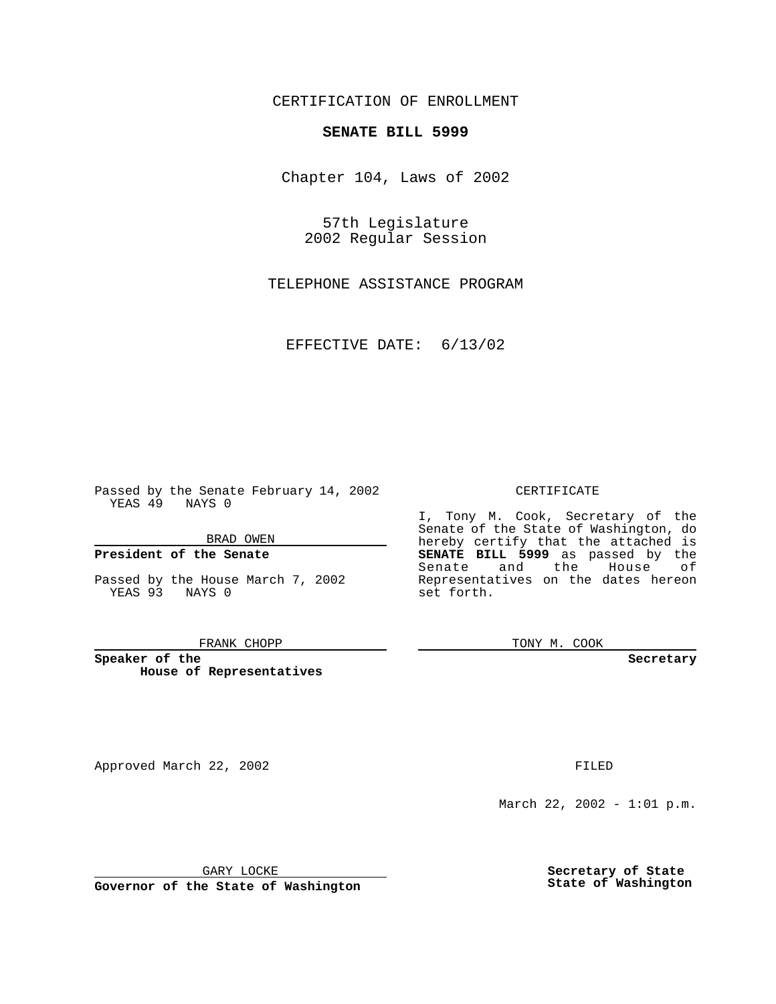CERTIFICATION OF ENROLLMENT

# **SENATE BILL 5999**

Chapter 104, Laws of 2002

57th Legislature 2002 Regular Session

TELEPHONE ASSISTANCE PROGRAM

EFFECTIVE DATE: 6/13/02

Passed by the Senate February 14, 2002 YEAS 49 NAYS 0

BRAD OWEN

### **President of the Senate**

Passed by the House March 7, 2002 YEAS 93 NAYS 0

#### FRANK CHOPP

**Speaker of the House of Representatives**

Approved March 22, 2002 **FILED** 

### CERTIFICATE

I, Tony M. Cook, Secretary of the Senate of the State of Washington, do hereby certify that the attached is **SENATE BILL 5999** as passed by the Senate and the House of Representatives on the dates hereon set forth.

TONY M. COOK

**Secretary**

March 22, 2002 - 1:01 p.m.

GARY LOCKE

**Governor of the State of Washington**

**Secretary of State State of Washington**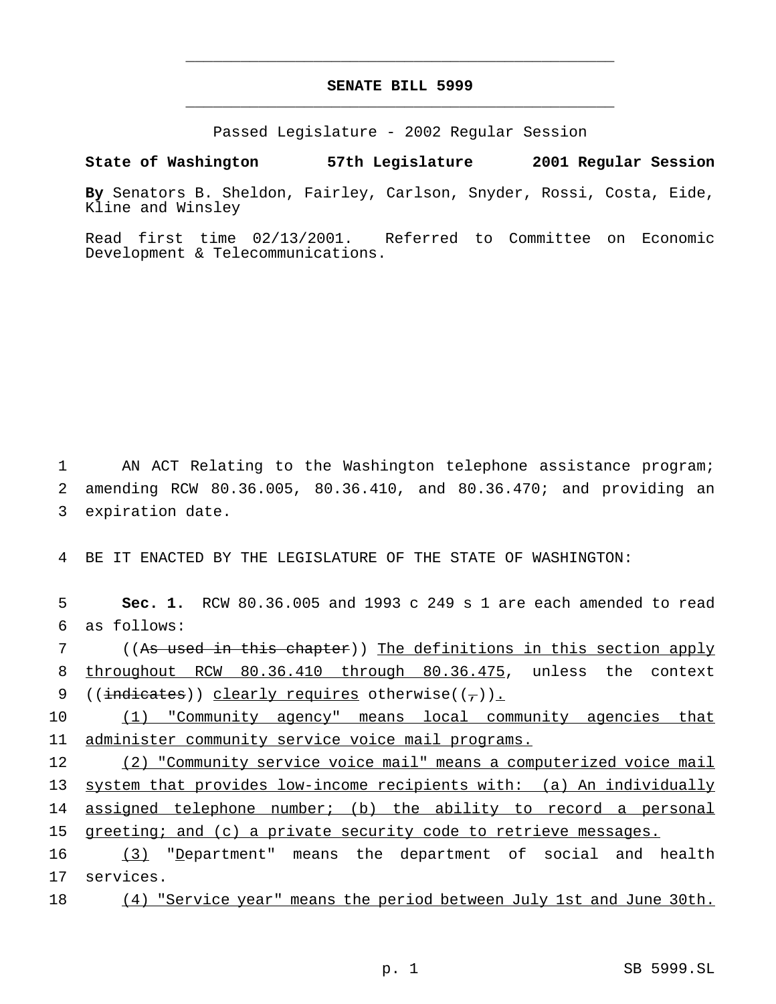# **SENATE BILL 5999** \_\_\_\_\_\_\_\_\_\_\_\_\_\_\_\_\_\_\_\_\_\_\_\_\_\_\_\_\_\_\_\_\_\_\_\_\_\_\_\_\_\_\_\_\_\_\_

\_\_\_\_\_\_\_\_\_\_\_\_\_\_\_\_\_\_\_\_\_\_\_\_\_\_\_\_\_\_\_\_\_\_\_\_\_\_\_\_\_\_\_\_\_\_\_

Passed Legislature - 2002 Regular Session

**State of Washington 57th Legislature 2001 Regular Session**

**By** Senators B. Sheldon, Fairley, Carlson, Snyder, Rossi, Costa, Eide, Kline and Winsley

Read first time 02/13/2001. Referred to Committee on Economic Development & Telecommunications.

1 AN ACT Relating to the Washington telephone assistance program; 2 amending RCW 80.36.005, 80.36.410, and 80.36.470; and providing an 3 expiration date.

4 BE IT ENACTED BY THE LEGISLATURE OF THE STATE OF WASHINGTON:

5 **Sec. 1.** RCW 80.36.005 and 1993 c 249 s 1 are each amended to read 6 as follows:

7 ((As used in this chapter)) The definitions in this section apply 8 throughout RCW 80.36.410 through 80.36.475, unless the context 9 ((indicates)) clearly requires otherwise( $(\frac{1}{\epsilon})$ ).

10 (1) "Community agency" means local community agencies that 11 administer community service voice mail programs.

 (2) "Community service voice mail" means a computerized voice mail system that provides low-income recipients with: (a) An individually 14 assigned telephone number; (b) the ability to record a personal greeting; and (c) a private security code to retrieve messages.

16 (3) "Department" means the department of social and health 17 services.

18 (4) "Service year" means the period between July 1st and June 30th.